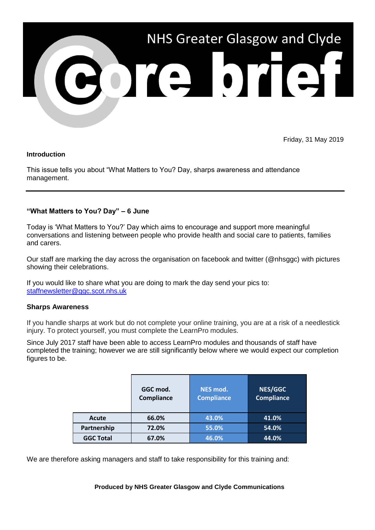

Friday, 31 May 2019

#### **Introduction**

This issue tells you about "What Matters to You? Day, sharps awareness and attendance management.

### **"What Matters to You? Day" – 6 June**

Today is 'What Matters to You?' Day which aims to encourage and support more meaningful conversations and listening between people who provide health and social care to patients, families and carers.

Our staff are marking the day across the organisation on facebook and twitter (@nhsggc) with pictures showing their celebrations.

If you would like to share what you are doing to mark the day send your pics to: [staffnewsletter@ggc.scot.nhs.uk](mailto:staffnewsletter@ggc.scot.nhs.uk)

#### **Sharps Awareness**

If you handle sharps at work but do not complete your online training, you are at a risk of a needlestick injury. To protect yourself, you must complete the LearnPro modules.

Since July 2017 staff have been able to access LearnPro modules and thousands of staff have completed the training; however we are still significantly below where we would expect our completion figures to be.

|                  | GGC mod.<br>Compliance | NES mod.<br><b>Compliance</b> | <b>NES/GGC</b><br><b>Compliance</b> |
|------------------|------------------------|-------------------------------|-------------------------------------|
| Acute            | 66.0%                  | 43.0%                         | 41.0%                               |
| Partnership      | 72.0%                  | 55.0%                         | 54.0%                               |
| <b>GGC Total</b> | 67.0%                  | 46.0%                         | 44.0%                               |

We are therefore asking managers and staff to take responsibility for this training and:

**Produced by NHS Greater Glasgow and Clyde Communications**